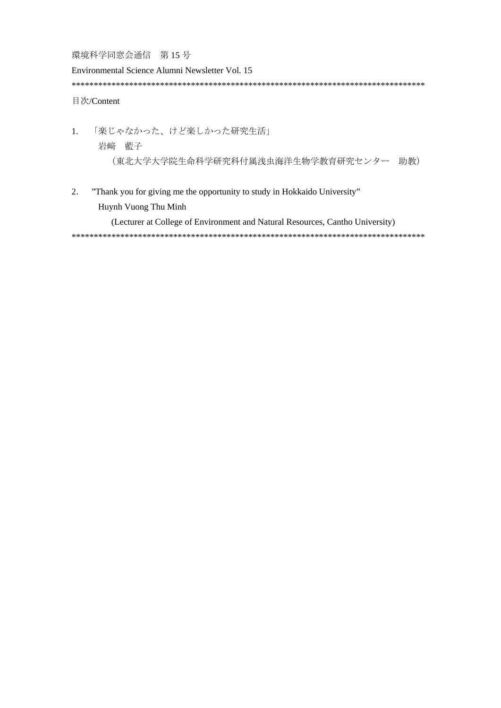環境科学同窓会通信 第15号

Environmental Science Alumni Newsletter Vol. 15 目次/Content

 $\overline{1}$ . 「楽じゃなかった、けど楽しかった研究生活」 岩崎 藍子 (東北大学大学院生命科学研究科付属浅虫海洋生物学教育研究センター 助教)

 $\overline{2}$ . "Thank you for giving me the opportunity to study in Hokkaido University" Huynh Vuong Thu Minh

(Lecturer at College of Environment and Natural Resources, Cantho University)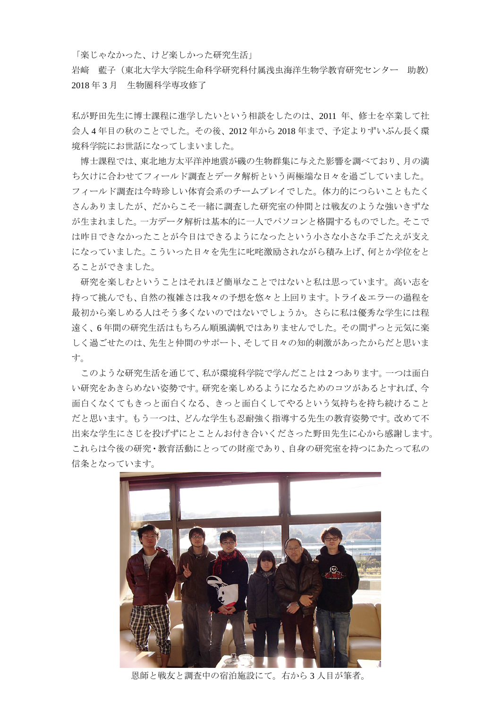「楽じゃなかった、けど楽しかった研究生活」

岩﨑 藍子(東北大学大学院生命科学研究科付属浅虫海洋生物学教育研究センター 助教) 2018 年 3 月 生物圏科学専攻修了

私が野田先生に博士課程に進学したいという相談をしたのは、2011 年、修士を卒業して社 会人 4 年目の秋のことでした。その後、2012 年から 2018 年まで、予定よりずいぶん長く環 境科学院にお世話になってしまいました。

博士課程では、東北地方太平洋沖地震が磯の生物群集に与えた影響を調べており、月の満 ち欠けに合わせてフィールド調査とデータ解析という両極端な日々を過ごしていました。 フィールド調査は今時珍しい体育会系のチームプレイでした。体力的につらいこともたく さんありましたが、だからこそ一緒に調査した研究室の仲間とは戦友のような強いきずな が生まれました。一方データ解析は基本的に一人でパソコンと格闘するものでした。そこで は昨日できなかったことが今日はできるようになったという小さな小さな手ごたえが支え になっていました。こういった日々を先生に叱咤激励されながら積み上げ、何とか学位をと ることができました。

研究を楽しむということはそれほど簡単なことではないと私は思っています。高い志を 持って挑んでも、自然の複雑さは我々の予想を悠々と上回ります。トライ&エラーの過程を 最初から楽しめる人はそう多くないのではないでしょうか。さらに私は優秀な学生には程 遠く、6 年間の研究生活はもちろん順風満帆ではありませんでした。その間ずっと元気に楽 しく過ごせたのは、先生と仲間のサポート、そして日々の知的刺激があったからだと思いま す。

このような研究生活を通じて、私が環境科学院で学んだことは 2 つあります。一つは面白 い研究をあきらめない姿勢です。研究を楽しめるようになるためのコツがあるとすれば、今 面白くなくてもきっと面白くなる、きっと面白くしてやるという気持ちを持ち続けること だと思います。もう一つは、どんな学生も忍耐強く指導する先生の教育姿勢です。改めて不 出来な学生にさじを投げずにとことんお付き合いくださった野田先生に心から感謝します。 これらは今後の研究・教育活動にとっての財産であり、自身の研究室を持つにあたって私の 信条となっています。



恩師と戦友と調査中の宿泊施設にて。右から 3 人目が筆者。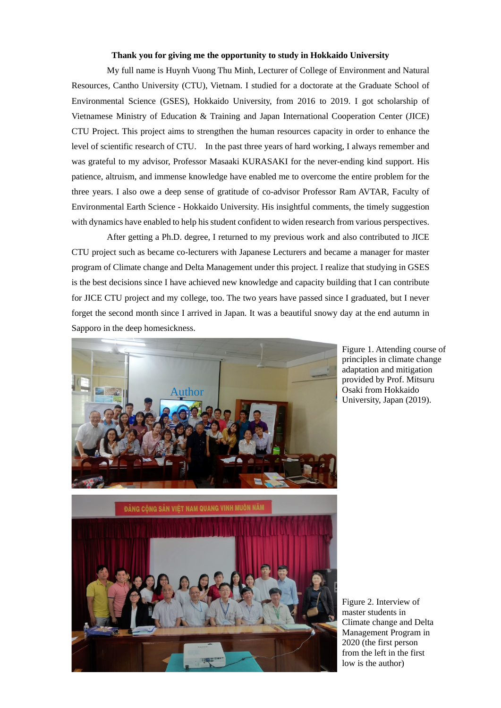## **Thank you for giving me the opportunity to study in Hokkaido University**

My full name is Huynh Vuong Thu Minh, Lecturer of College of Environment and Natural Resources, Cantho University (CTU), Vietnam. I studied for a doctorate at the Graduate School of Environmental Science (GSES), Hokkaido University, from 2016 to 2019. I got scholarship of Vietnamese Ministry of Education & Training and Japan International Cooperation Center (JICE) CTU Project. This project aims to strengthen the human resources capacity in order to enhance the level of scientific research of CTU. In the past three years of hard working, I always remember and was grateful to my advisor, Professor Masaaki KURASAKI for the never-ending kind support. His patience, altruism, and immense knowledge have enabled me to overcome the entire problem for the three years. I also owe a deep sense of gratitude of co-advisor Professor Ram AVTAR, Faculty of Environmental Earth Science - Hokkaido University. His insightful comments, the timely suggestion with dynamics have enabled to help his student confident to widen research from various perspectives.

After getting a Ph.D. degree, I returned to my previous work and also contributed to JICE CTU project such as became co-lecturers with Japanese Lecturers and became a manager for master program of Climate change and Delta Management under this project. I realize that studying in GSES is the best decisions since I have achieved new knowledge and capacity building that I can contribute for JICE CTU project and my college, too. The two years have passed since I graduated, but I never forget the second month since I arrived in Japan. It was a beautiful snowy day at the end autumn in Sapporo in the deep homesickness.



Figure 1. Attending course of principles in climate change adaptation and mitigation provided by Prof. Mitsuru Osaki from Hokkaido University, Japan (2019).



Figure 2. Interview of master students in Climate change and Delta Management Program in 2020 (the first person from the left in the first low is the author)